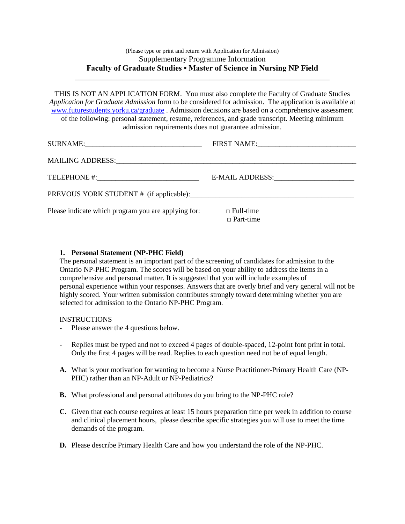# (Please type or print and return with Application for Admission) Supplementary Programme Information **Faculty of Graduate Studies • Master of Science in Nursing NP Field**

\_\_\_\_\_\_\_\_\_\_\_\_\_\_\_\_\_\_\_\_\_\_\_\_\_\_\_\_\_\_\_\_\_\_\_\_\_\_\_\_\_\_\_\_\_\_\_\_\_\_\_\_\_\_\_\_\_\_\_\_\_\_\_\_\_\_\_\_\_\_

THIS IS NOT AN APPLICATION FORM. You must also complete the Faculty of Graduate Studies *Application for Graduate Admission* form to be considered for admission. The application is available at [www.futurestudents.yorku.ca/graduate](http://www.futurestudents.yorku.ca/graduate) . Admission decisions are based on a comprehensive assessment of the following: personal statement, resume, references, and grade transcript. Meeting minimum admission requirements does not guarantee admission.

|                                                     | FIRST NAME: VALUE AND THE PRESS NAME OF THE PART OF THE PRESS OF THE PART OF THE PRESS OF THE PRESS OF THE PRESS |
|-----------------------------------------------------|------------------------------------------------------------------------------------------------------------------|
|                                                     |                                                                                                                  |
|                                                     | E-MAIL ADDRESS: North American Section 1997                                                                      |
|                                                     |                                                                                                                  |
| Please indicate which program you are applying for: | $\Box$ Full-time<br>$\Box$ Part-time                                                                             |

## **1. Personal Statement (NP-PHC Field)**

The personal statement is an important part of the screening of candidates for admission to the Ontario NP-PHC Program. The scores will be based on your ability to address the items in a comprehensive and personal matter. It is suggested that you will include examples of personal experience within your responses. Answers that are overly brief and very general will not be highly scored. Your written submission contributes strongly toward determining whether you are selected for admission to the Ontario NP-PHC Program.

## INSTRUCTIONS

- Please answer the 4 questions below.
- Replies must be typed and not to exceed 4 pages of double-spaced, 12-point font print in total. Only the first 4 pages will be read. Replies to each question need not be of equal length.
- **A.** What is your motivation for wanting to become a Nurse Practitioner-Primary Health Care (NP-PHC) rather than an NP-Adult or NP-Pediatrics?
- **B.** What professional and personal attributes do you bring to the NP-PHC role?
- **C.** Given that each course requires at least 15 hours preparation time per week in addition to course and clinical placement hours, please describe specific strategies you will use to meet the time demands of the program.
- **D.** Please describe Primary Health Care and how you understand the role of the NP-PHC.